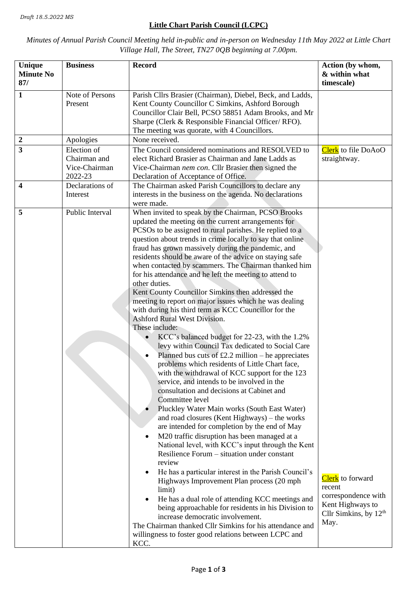## **Little Chart Parish Council (LCPC)**

## *Minutes of Annual Parish Council Meeting held in-public and in-person on Wednesday 11th May 2022 at Little Chart Village Hall, The Street, TN27 0QB beginning at 7.00pm.*

| Unique<br><b>Minute No</b><br>87/ | <b>Business</b>                                         | <b>Record</b>                                                                                                                                                                                                                                                                                                                                                                                                                                                                                                                                                                                                                                                                                                                                                                                                                                                                                                                                                                                                                                                                                                                                                                                                                                                                                                                                                                                                                                                                                                                                                                                                                                                                                                                                                                                                    | Action (by whom,<br>& within what<br>timescale)                                                          |
|-----------------------------------|---------------------------------------------------------|------------------------------------------------------------------------------------------------------------------------------------------------------------------------------------------------------------------------------------------------------------------------------------------------------------------------------------------------------------------------------------------------------------------------------------------------------------------------------------------------------------------------------------------------------------------------------------------------------------------------------------------------------------------------------------------------------------------------------------------------------------------------------------------------------------------------------------------------------------------------------------------------------------------------------------------------------------------------------------------------------------------------------------------------------------------------------------------------------------------------------------------------------------------------------------------------------------------------------------------------------------------------------------------------------------------------------------------------------------------------------------------------------------------------------------------------------------------------------------------------------------------------------------------------------------------------------------------------------------------------------------------------------------------------------------------------------------------------------------------------------------------------------------------------------------------|----------------------------------------------------------------------------------------------------------|
| $\mathbf{1}$                      | Note of Persons<br>Present                              | Parish Cllrs Brasier (Chairman), Diebel, Beck, and Ladds,<br>Kent County Councillor C Simkins, Ashford Borough<br>Councillor Clair Bell, PCSO 58851 Adam Brooks, and Mr<br>Sharpe (Clerk & Responsible Financial Officer/RFO).<br>The meeting was quorate, with 4 Councillors.                                                                                                                                                                                                                                                                                                                                                                                                                                                                                                                                                                                                                                                                                                                                                                                                                                                                                                                                                                                                                                                                                                                                                                                                                                                                                                                                                                                                                                                                                                                                   |                                                                                                          |
| $\boldsymbol{2}$                  | Apologies                                               | None received.                                                                                                                                                                                                                                                                                                                                                                                                                                                                                                                                                                                                                                                                                                                                                                                                                                                                                                                                                                                                                                                                                                                                                                                                                                                                                                                                                                                                                                                                                                                                                                                                                                                                                                                                                                                                   |                                                                                                          |
| $\overline{\mathbf{3}}$           | Election of<br>Chairman and<br>Vice-Chairman<br>2022-23 | The Council considered nominations and RESOLVED to<br>elect Richard Brasier as Chairman and Jane Ladds as<br>Vice-Chairman nem con. Cllr Brasier then signed the<br>Declaration of Acceptance of Office.                                                                                                                                                                                                                                                                                                                                                                                                                                                                                                                                                                                                                                                                                                                                                                                                                                                                                                                                                                                                                                                                                                                                                                                                                                                                                                                                                                                                                                                                                                                                                                                                         | Clerk to file DoAoO<br>straightway.                                                                      |
| 4                                 | Declarations of<br>Interest                             | The Chairman asked Parish Councillors to declare any<br>interests in the business on the agenda. No declarations<br>were made.                                                                                                                                                                                                                                                                                                                                                                                                                                                                                                                                                                                                                                                                                                                                                                                                                                                                                                                                                                                                                                                                                                                                                                                                                                                                                                                                                                                                                                                                                                                                                                                                                                                                                   |                                                                                                          |
| 5                                 | Public Interval                                         | When invited to speak by the Chairman, PCSO Brooks<br>updated the meeting on the current arrangements for<br>PCSOs to be assigned to rural parishes. He replied to a<br>question about trends in crime locally to say that online<br>fraud has grown massively during the pandemic, and<br>residents should be aware of the advice on staying safe<br>when contacted by scammers. The Chairman thanked him<br>for his attendance and he left the meeting to attend to<br>other duties.<br>Kent County Councillor Simkins then addressed the<br>meeting to report on major issues which he was dealing<br>with during his third term as KCC Councillor for the<br><b>Ashford Rural West Division.</b><br>These include:<br>KCC's balanced budget for 22-23, with the 1.2%<br>levy within Council Tax dedicated to Social Care<br>Planned bus cuts of $£2.2$ million – he appreciates<br>problems which residents of Little Chart face,<br>with the withdrawal of KCC support for the 123<br>service, and intends to be involved in the<br>consultation and decisions at Cabinet and<br>Committee level<br>Pluckley Water Main works (South East Water)<br>and road closures (Kent Highways) – the works<br>are intended for completion by the end of May<br>M20 traffic disruption has been managed at a<br>National level, with KCC's input through the Kent<br>Resilience Forum – situation under constant<br>review<br>He has a particular interest in the Parish Council's<br>Highways Improvement Plan process (20 mph<br>limit)<br>He has a dual role of attending KCC meetings and<br>being approachable for residents in his Division to<br>increase democratic involvement.<br>The Chairman thanked Cllr Simkins for his attendance and<br>willingness to foster good relations between LCPC and<br>KCC. | Clerk to forward<br>recent<br>correspondence with<br>Kent Highways to<br>Cllr Simkins, by $12th$<br>May. |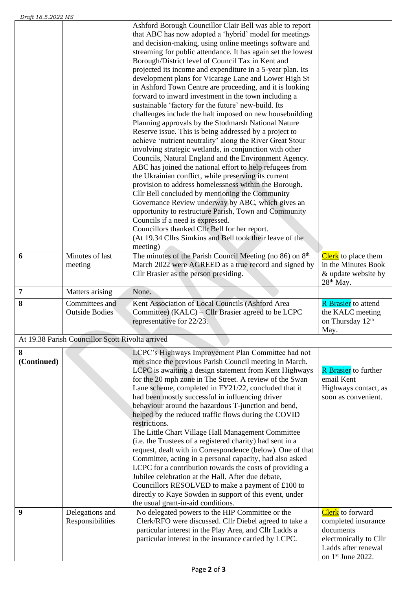| 6                | Minutes of last<br>meeting                       | Ashford Borough Councillor Clair Bell was able to report<br>that ABC has now adopted a 'hybrid' model for meetings<br>and decision-making, using online meetings software and<br>streaming for public attendance. It has again set the lowest<br>Borough/District level of Council Tax in Kent and<br>projected its income and expenditure in a 5-year plan. Its<br>development plans for Vicarage Lane and Lower High St<br>in Ashford Town Centre are proceeding, and it is looking<br>forward to inward investment in the town including a<br>sustainable 'factory for the future' new-build. Its<br>challenges include the halt imposed on new housebuilding<br>Planning approvals by the Stodmarsh National Nature<br>Reserve issue. This is being addressed by a project to<br>achieve 'nutrient neutrality' along the River Great Stour<br>involving strategic wetlands, in conjunction with other<br>Councils, Natural England and the Environment Agency.<br>ABC has joined the national effort to help refugees from<br>the Ukrainian conflict, while preserving its current<br>provision to address homelessness within the Borough.<br>Cllr Bell concluded by mentioning the Community<br>Governance Review underway by ABC, which gives an<br>opportunity to restructure Parish, Town and Community<br>Councils if a need is expressed.<br>Councillors thanked Cllr Bell for her report.<br>(At 19.34 Cllrs Simkins and Bell took their leave of the<br>meeting)<br>The minutes of the Parish Council Meeting (no 86) on 8 <sup>th</sup><br>March 2022 were AGREED as a true record and signed by<br>Cllr Brasier as the person presiding. | Clerk to place them<br>in the Minutes Book<br>& update website by                                                                 |
|------------------|--------------------------------------------------|---------------------------------------------------------------------------------------------------------------------------------------------------------------------------------------------------------------------------------------------------------------------------------------------------------------------------------------------------------------------------------------------------------------------------------------------------------------------------------------------------------------------------------------------------------------------------------------------------------------------------------------------------------------------------------------------------------------------------------------------------------------------------------------------------------------------------------------------------------------------------------------------------------------------------------------------------------------------------------------------------------------------------------------------------------------------------------------------------------------------------------------------------------------------------------------------------------------------------------------------------------------------------------------------------------------------------------------------------------------------------------------------------------------------------------------------------------------------------------------------------------------------------------------------------------------------------------------------------------------------------------------------------------|-----------------------------------------------------------------------------------------------------------------------------------|
| $\overline{7}$   | Matters arising                                  | None.                                                                                                                                                                                                                                                                                                                                                                                                                                                                                                                                                                                                                                                                                                                                                                                                                                                                                                                                                                                                                                                                                                                                                                                                                                                                                                                                                                                                                                                                                                                                                                                                                                                   | 28 <sup>th</sup> May.                                                                                                             |
| 8                | Committees and<br><b>Outside Bodies</b>          | Kent Association of Local Councils (Ashford Area<br>Committee) (KALC) – Cllr Brasier agreed to be LCPC<br>representative for 22/23.                                                                                                                                                                                                                                                                                                                                                                                                                                                                                                                                                                                                                                                                                                                                                                                                                                                                                                                                                                                                                                                                                                                                                                                                                                                                                                                                                                                                                                                                                                                     | <b>R</b> Brasier to attend<br>the KALC meeting<br>on Thursday 12 <sup>th</sup><br>May.                                            |
|                  | At 19.38 Parish Councillor Scott Rivolta arrived |                                                                                                                                                                                                                                                                                                                                                                                                                                                                                                                                                                                                                                                                                                                                                                                                                                                                                                                                                                                                                                                                                                                                                                                                                                                                                                                                                                                                                                                                                                                                                                                                                                                         |                                                                                                                                   |
| 8<br>(Continued) |                                                  | LCPC's Highways Improvement Plan Committee had not<br>met since the previous Parish Council meeting in March.<br>LCPC is awaiting a design statement from Kent Highways<br>for the 20 mph zone in The Street. A review of the Swan<br>Lane scheme, completed in FY21/22, concluded that it<br>had been mostly successful in influencing driver<br>behaviour around the hazardous T-junction and bend,<br>helped by the reduced traffic flows during the COVID<br>restrictions.<br>The Little Chart Village Hall Management Committee<br>(i.e. the Trustees of a registered charity) had sent in a<br>request, dealt with in Correspondence (below). One of that<br>Committee, acting in a personal capacity, had also asked<br>LCPC for a contribution towards the costs of providing a<br>Jubilee celebration at the Hall. After due debate,<br>Councillors RESOLVED to make a payment of £100 to<br>directly to Kaye Sowden in support of this event, under<br>the usual grant-in-aid conditions.                                                                                                                                                                                                                                                                                                                                                                                                                                                                                                                                                                                                                                                     | <b>R</b> Brasier to further<br>email Kent<br>Highways contact, as<br>soon as convenient.                                          |
| 9                | Delegations and<br>Responsibilities              | No delegated powers to the HIP Committee or the<br>Clerk/RFO were discussed. Cllr Diebel agreed to take a<br>particular interest in the Play Area, and Cllr Ladds a<br>particular interest in the insurance carried by LCPC.                                                                                                                                                                                                                                                                                                                                                                                                                                                                                                                                                                                                                                                                                                                                                                                                                                                                                                                                                                                                                                                                                                                                                                                                                                                                                                                                                                                                                            | <b>Clerk</b> to forward<br>completed insurance<br>documents<br>electronically to Cllr<br>Ladds after renewal<br>on 1st June 2022. |